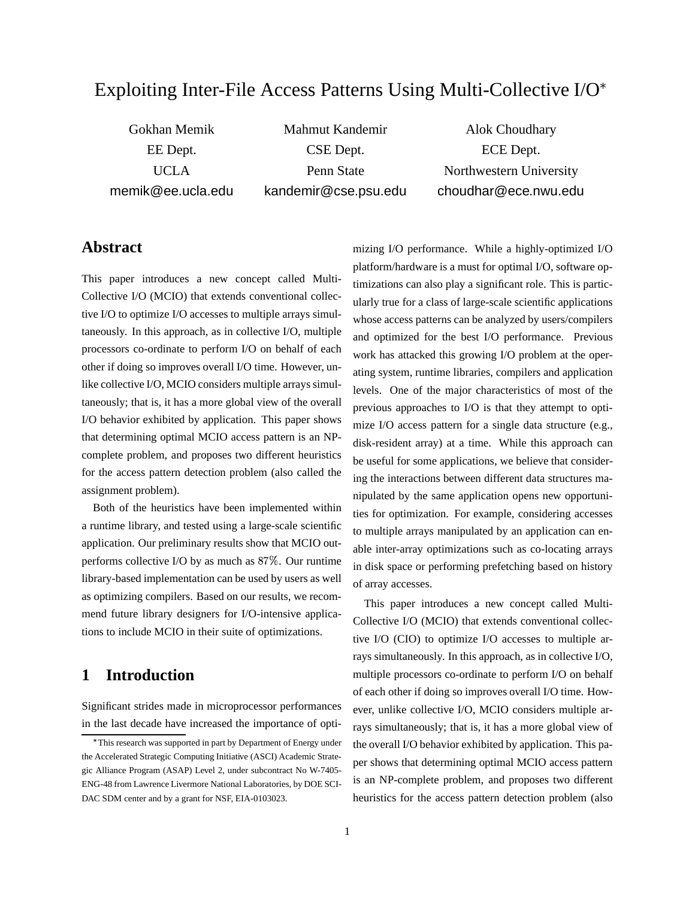# Exploiting Inter-File Access Patterns Using Multi-Collective I/O

Gokhan Memik EE Dept. UCLA memik@ee.ucla.edu

Mahmut Kandemir CSE Dept. Penn State kandemir@cse.psu.edu

Alok Choudhary ECE Dept. Northwestern University choudhar@ece.nwu.edu

### **Abstract**

This paper introduces a new concept called Multi-Collective I/O (MCIO) that extends conventional collective I/O to optimize I/O accesses to multiple arrays simultaneously. In this approach, as in collective I/O, multiple processors co-ordinate to perform I/O on behalf of each other if doing so improves overall I/O time. However, unlike collective I/O, MCIO considers multiple arrays simultaneously; that is, it has a more global view of the overall I/O behavior exhibited by application. This paper shows that determining optimal MCIO access pattern is an NPcomplete problem, and proposes two different heuristics for the access pattern detection problem (also called the assignment problem).

Both of the heuristics have been implemented within a runtime library, and tested using a large-scale scientific application. Our preliminary results show that MCIO outperforms collective I/O by as much as  $87\%$ . Our runtime library-based implementation can be used by users as well as optimizing compilers. Based on our results, we recommend future library designers for I/O-intensive applications to include MCIO in their suite of optimizations.

## **1 Introduction**

Significant strides made in microprocessor performances in the last decade have increased the importance of optimizing I/O performance. While a highly-optimized I/O platform/hardware is a must for optimal I/O, software optimizations can also play a significant role. This is particularly true for a class of large-scale scientific applications whose access patterns can be analyzed by users/compilers and optimized for the best I/O performance. Previous work has attacked this growing I/O problem at the operating system, runtime libraries, compilers and application levels. One of the major characteristics of most of the previous approaches to I/O is that they attempt to optimize I/O access pattern for a single data structure (e.g., disk-resident array) at a time. While this approach can be useful for some applications, we believe that considering the interactions between different data structures manipulated by the same application opens new opportunities for optimization. For example, considering accesses to multiple arrays manipulated by an application can enable inter-array optimizations such as co-locating arrays in disk space or performing prefetching based on history of array accesses.

This paper introduces a new concept called Multi-Collective I/O (MCIO) that extends conventional collective I/O (CIO) to optimize I/O accesses to multiple arrays simultaneously. In this approach, as in collective I/O, multiple processors co-ordinate to perform I/O on behalf of each other if doing so improves overall I/O time. However, unlike collective I/O, MCIO considers multiple arrays simultaneously; that is, it has a more global view of the overall I/O behavior exhibited by application. This paper shows that determining optimal MCIO access pattern is an NP-complete problem, and proposes two different heuristics for the access pattern detection problem (also

This research was supported in part by Department of Energy under the Accelerated Strategic Computing Initiative (ASCI) Academic Strategic Alliance Program (ASAP) Level 2, under subcontract No W-7405- ENG-48 from Lawrence Livermore National Laboratories, by DOE SCI-DAC SDM center and by a grant for NSF, EIA-0103023.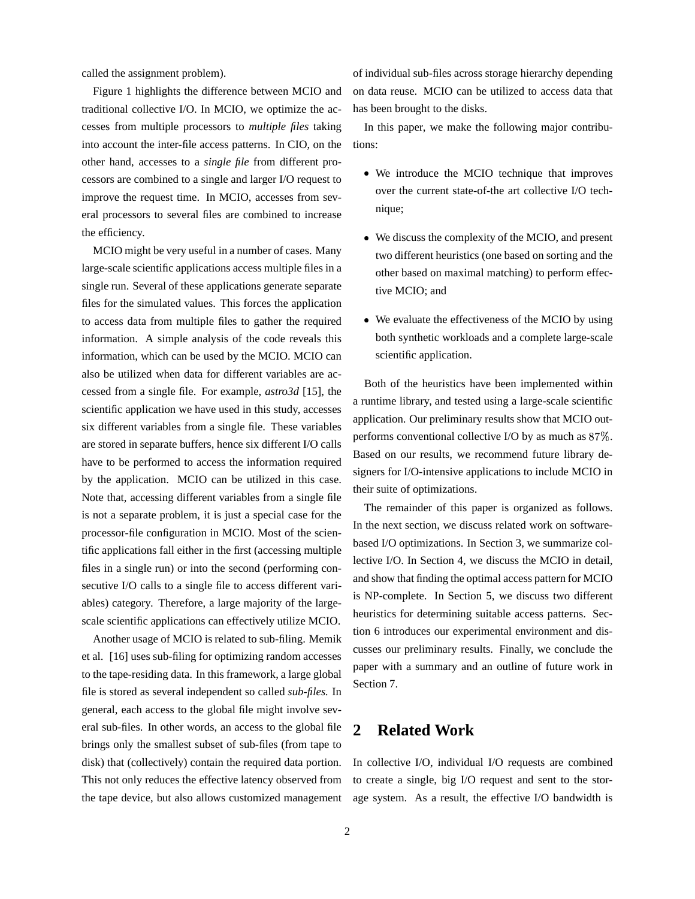called the assignment problem).

Figure 1 highlights the difference between MCIO and traditional collective I/O. In MCIO, we optimize the accesses from multiple processors to *multiple files* taking into account the inter-file access patterns. In CIO, on the other hand, accesses to a *single file* from different processors are combined to a single and larger I/O request to improve the request time. In MCIO, accesses from several processors to several files are combined to increase the efficiency.

MCIO might be very useful in a number of cases. Many large-scale scientific applications access multiple files in a single run. Several of these applications generate separate files for the simulated values. This forces the application to access data from multiple files to gather the required information. A simple analysis of the code reveals this information, which can be used by the MCIO. MCIO can also be utilized when data for different variables are accessed from a single file. For example, *astro3d* [15], the scientific application we have used in this study, accesses six different variables from a single file. These variables are stored in separate buffers, hence six different I/O calls have to be performed to access the information required by the application. MCIO can be utilized in this case. Note that, accessing different variables from a single file is not a separate problem, it is just a special case for the processor-file configuration in MCIO. Most of the scientific applications fall either in the first (accessing multiple files in a single run) or into the second (performing consecutive I/O calls to a single file to access different variables) category. Therefore, a large majority of the largescale scientific applications can effectively utilize MCIO.

Another usage of MCIO is related to sub-filing. Memik et al. [16] uses sub-filing for optimizing random accesses to the tape-residing data. In this framework, a large global file is stored as several independent so called *sub-files.* In general, each access to the global file might involve several sub-files. In other words, an access to the global file brings only the smallest subset of sub-files (from tape to disk) that (collectively) contain the required data portion. This not only reduces the effective latency observed from the tape device, but also allows customized management

of individual sub-files across storage hierarchy depending on data reuse. MCIO can be utilized to access data that has been brought to the disks.

In this paper, we make the following major contributions:

- We introduce the MCIO technique that improves over the current state-of-the art collective I/O technique;
- We discuss the complexity of the MCIO, and present two different heuristics (one based on sorting and the other based on maximal matching) to perform effective MCIO; and
- We evaluate the effectiveness of the MCIO by using both synthetic workloads and a complete large-scale scientific application.

Both of the heuristics have been implemented within a runtime library, and tested using a large-scale scientific application. Our preliminary results show that MCIO outperforms conventional collective I/O by as much as  $87\%$ . Based on our results, we recommend future library designers for I/O-intensive applications to include MCIO in their suite of optimizations.

The remainder of this paper is organized as follows. In the next section, we discuss related work on softwarebased I/O optimizations. In Section 3, we summarize collective I/O. In Section 4, we discuss the MCIO in detail, and show that finding the optimal access pattern for MCIO is NP-complete. In Section 5, we discuss two different heuristics for determining suitable access patterns. Section 6 introduces our experimental environment and discusses our preliminary results. Finally, we conclude the paper with a summary and an outline of future work in Section 7.

# **2 Related Work**

In collective I/O, individual I/O requests are combined to create a single, big I/O request and sent to the storage system. As a result, the effective I/O bandwidth is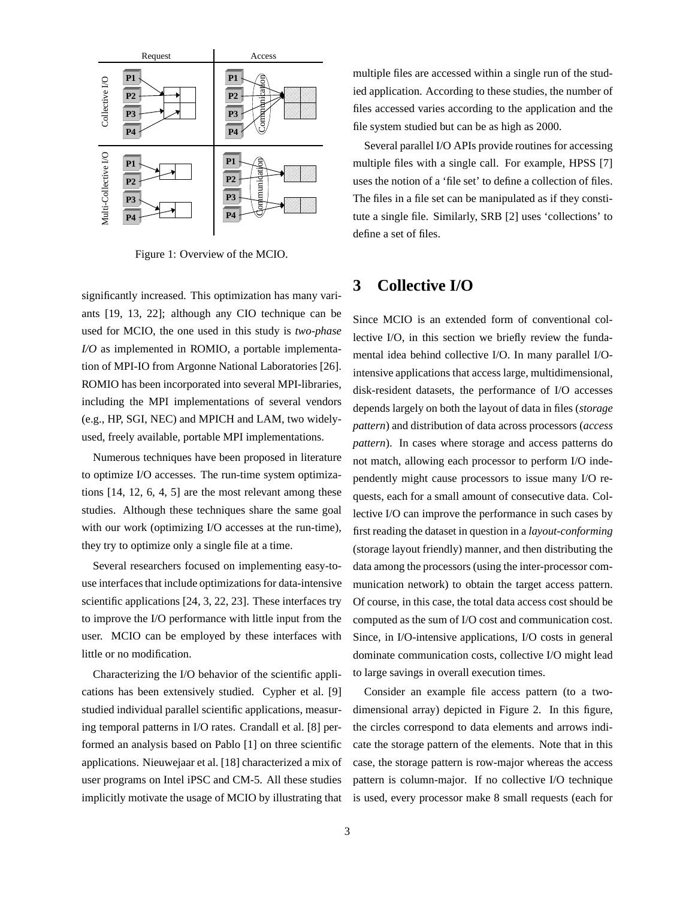

Figure 1: Overview of the MCIO.

significantly increased. This optimization has many variants [19, 13, 22]; although any CIO technique can be used for MCIO, the one used in this study is *two-phase I/O* as implemented in ROMIO, a portable implementation of MPI-IO from Argonne National Laboratories [26]. ROMIO has been incorporated into several MPI-libraries, including the MPI implementations of several vendors (e.g., HP, SGI, NEC) and MPICH and LAM, two widelyused, freely available, portable MPI implementations.

Numerous techniques have been proposed in literature to optimize I/O accesses. The run-time system optimizations [14, 12, 6, 4, 5] are the most relevant among these studies. Although these techniques share the same goal with our work (optimizing I/O accesses at the run-time), they try to optimize only a single file at a time.

Several researchers focused on implementing easy-touse interfaces that include optimizations for data-intensive scientific applications [24, 3, 22, 23]. These interfaces try to improve the I/O performance with little input from the user. MCIO can be employed by these interfaces with little or no modification.

Characterizing the I/O behavior of the scientific applications has been extensively studied. Cypher et al. [9] studied individual parallel scientific applications, measuring temporal patterns in I/O rates. Crandall et al. [8] performed an analysis based on Pablo [1] on three scientific applications. Nieuwejaar et al. [18] characterized a mix of user programs on Intel iPSC and CM-5. All these studies implicitly motivate the usage of MCIO by illustrating that

multiple files are accessed within a single run of the studied application. According to these studies, the number of files accessed varies according to the application and the file system studied but can be as high as 2000.

Several parallel I/O APIs provide routines for accessing multiple files with a single call. For example, HPSS [7] uses the notion of a 'file set' to define a collection of files. The files in a file set can be manipulated as if they constitute a single file. Similarly, SRB [2] uses 'collections' to define a set of files.

### **3 Collective I/O**

Since MCIO is an extended form of conventional collective I/O, in this section we briefly review the fundamental idea behind collective I/O. In many parallel I/Ointensive applications that access large, multidimensional, disk-resident datasets, the performance of I/O accesses depends largely on both the layout of data in files (*storage pattern*) and distribution of data across processors (*access pattern*). In cases where storage and access patterns do not match, allowing each processor to perform I/O independently might cause processors to issue many I/O requests, each for a small amount of consecutive data. Collective I/O can improve the performance in such cases by first reading the dataset in question in a *layout-conforming* (storage layout friendly) manner, and then distributing the data among the processors (using the inter-processor communication network) to obtain the target access pattern. Of course, in this case, the total data access cost should be computed as the sum of I/O cost and communication cost. Since, in I/O-intensive applications, I/O costs in general dominate communication costs, collective I/O might lead to large savings in overall execution times.

Consider an example file access pattern (to a twodimensional array) depicted in Figure 2. In this figure, the circles correspond to data elements and arrows indicate the storage pattern of the elements. Note that in this case, the storage pattern is row-major whereas the access pattern is column-major. If no collective I/O technique is used, every processor make 8 small requests (each for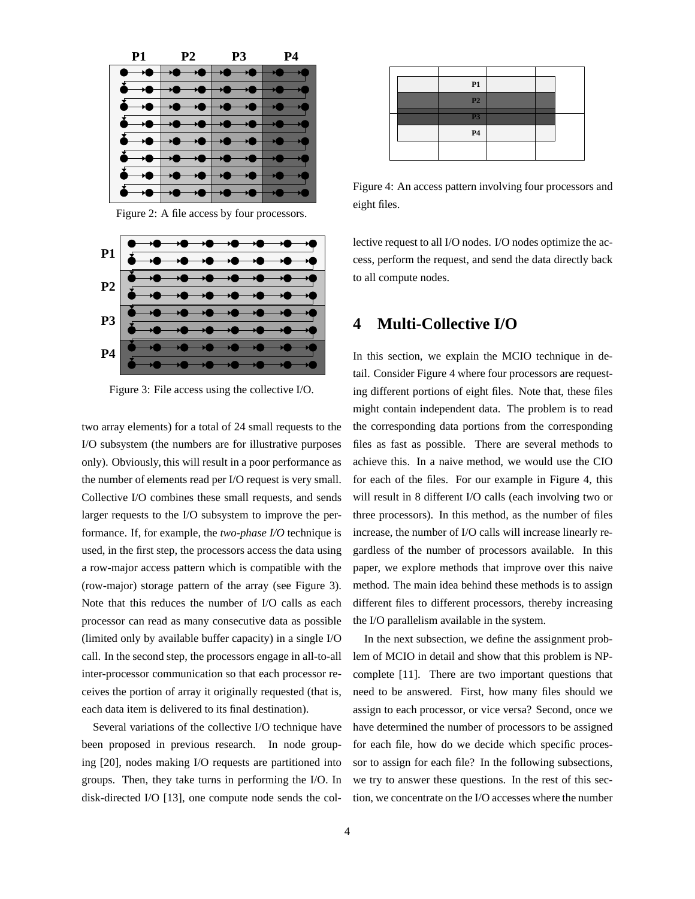| <b>P1</b> P2 | <b>P3</b> | Р4 |
|--------------|-----------|----|
|              |           |    |
|              |           |    |
|              |           |    |
|              |           |    |
|              |           |    |
|              |           |    |
|              |           |    |
|              |           |    |
|              |           |    |

Figure 2: A file access by four processors.



Figure 3: File access using the collective I/O.

two array elements) for a total of 24 small requests to the I/O subsystem (the numbers are for illustrative purposes only). Obviously, this will result in a poor performance as the number of elements read per I/O request is very small. Collective I/O combines these small requests, and sends larger requests to the I/O subsystem to improve the performance. If, for example, the *two-phase I/O* technique is used, in the first step, the processors access the data using a row-major access pattern which is compatible with the (row-major) storage pattern of the array (see Figure 3). Note that this reduces the number of I/O calls as each processor can read as many consecutive data as possible (limited only by available buffer capacity) in a single I/O call. In the second step, the processors engage in all-to-all inter-processor communication so that each processor receives the portion of array it originally requested (that is, each data item is delivered to its final destination).

Several variations of the collective I/O technique have been proposed in previous research. In node grouping [20], nodes making I/O requests are partitioned into groups. Then, they take turns in performing the I/O. In disk-directed I/O [13], one compute node sends the col-

|  | P1             |  |  |
|--|----------------|--|--|
|  | P <sub>2</sub> |  |  |
|  | P <sub>3</sub> |  |  |
|  | $\mathbf{P4}$  |  |  |
|  |                |  |  |
|  |                |  |  |

Figure 4: An access pattern involving four processors and eight files.

lective request to all I/O nodes. I/O nodes optimize the access, perform the request, and send the data directly back to all compute nodes.

### **4 Multi-Collective I/O**

In this section, we explain the MCIO technique in detail. Consider Figure 4 where four processors are requesting different portions of eight files. Note that, these files might contain independent data. The problem is to read the corresponding data portions from the corresponding files as fast as possible. There are several methods to achieve this. In a naive method, we would use the CIO for each of the files. For our example in Figure 4, this will result in 8 different I/O calls (each involving two or three processors). In this method, as the number of files increase, the number of I/O calls will increase linearly regardless of the number of processors available. In this paper, we explore methods that improve over this naive method. The main idea behind these methods is to assign different files to different processors, thereby increasing the I/O parallelism available in the system.

In the next subsection, we define the assignment problem of MCIO in detail and show that this problem is NPcomplete [11]. There are two important questions that need to be answered. First, how many files should we assign to each processor, or vice versa? Second, once we have determined the number of processors to be assigned for each file, how do we decide which specific processor to assign for each file? In the following subsections, we try to answer these questions. In the rest of this section, we concentrate on the I/O accesses where the number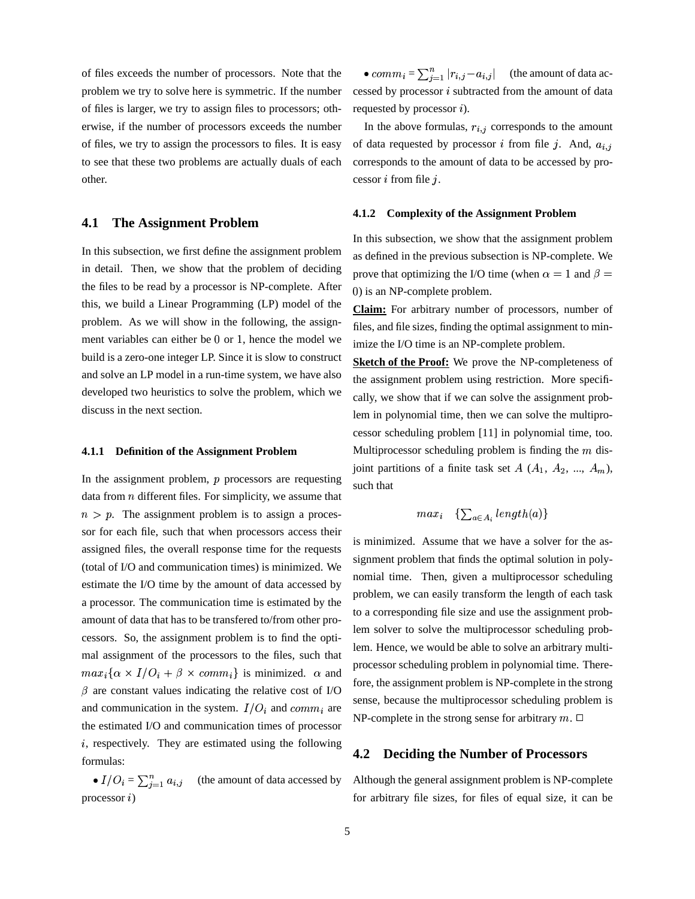of files exceeds the number of processors. Note that the problem we try to solve here is symmetric. If the number of files is larger, we try to assign files to processors; otherwise, if the number of processors exceeds the number of files, we try to assign the processors to files. It is easy to see that these two problems are actually duals of each other.

### **4.1 The Assignment Problem**

In this subsection, we first define the assignment problem in detail. Then, we show that the problem of deciding the files to be read by a processor is NP-complete. After this, we build a Linear Programming (LP) model of the problem. As we will show in the following, the assignment variables can either be 0 or 1, hence the model we build is a zero-one integer LP. Since it is slow to construct and solve an LP model in a run-time system, we have also developed two heuristics to solve the problem, which we discuss in the next section.

#### **4.1.1 Definition of the Assignment Problem**

In the assignment problem,  $p$  processors are requesting data from  $n$  different files. For simplicity, we assume that  $n > p$ . The assignment problem is to assign a processor for each file, such that when processors access their assigned files, the overall response time for the requests (total of I/O and communication times) is minimized. We estimate the I/O time by the amount of data accessed by a processor. The communication time is estimated by the amount of data that has to be transfered to/from other processors. So, the assignment problem is to find the optimal assignment of the processors to the files, such that  $max_i {\alpha \times I/O_i + \beta \times comm_i}$  is minimized.  $\alpha$  and  $\beta$  are constant values indicating the relative cost of I/O and communication in the system.  $I/O_i$  and  $comm_i$  are the estimated I/O and communication times of processor  $i$ , respectively. They are estimated using the following formulas:

•  $I/O_i = \sum_{i=1}^n a_{i,j}$ (the amount of data accessed by  $\Gamma$  processor  $i$ )

•  $comm_i = \sum_{i=1}^{n} |r_{i,j} - a_{i,j}|$  (the amount of data accessed by processor  $i$  subtracted from the amount of data requested by processor  $i$ ).

In the above formulas,  $r_{i,j}$  corresponds to the amount of data requested by processor *i* from file *j*. And,  $a_{i,j}$ corresponds to the amount of data to be accessed by processor  $i$  from file  $j$ .

#### **4.1.2 Complexity of the Assignment Problem**

In this subsection, we show that the assignment problem as defined in the previous subsection is NP-complete. We prove that optimizing the I/O time (when  $\alpha = 1$  and  $\beta =$ ) is an NP-complete problem.

**Claim:** For arbitrary number of processors, number of files, and file sizes, finding the optimal assignment to minimize the I/O time is an NP-complete problem.

**Sketch of the Proof:** We prove the NP-completeness of the assignment problem using restriction. More specifically, we show that if we can solve the assignment problem in polynomial time, then we can solve the multiprocessor scheduling problem [11] in polynomial time, too. Multiprocessor scheduling problem is finding the  $m$  disjoint partitions of a finite task set  $A$   $(A_1, A_2, ..., A_m)$ , such that

$$
max_i \quad \{\sum_{a \in A_i} length(a)\}
$$

is minimized. Assume that we have a solver for the assignment problem that finds the optimal solution in polynomial time. Then, given a multiprocessor scheduling problem, we can easily transform the length of each task to a corresponding file size and use the assignment problem solver to solve the multiprocessor scheduling problem. Hence, we would be able to solve an arbitrary multiprocessor scheduling problem in polynomial time. Therefore, the assignment problem is NP-complete in the strong sense, because the multiprocessor scheduling problem is NP-complete in the strong sense for arbitrary  $m$ .  $\Box$ 

### **4.2 Deciding the Number of Processors**

Although the general assignment problem is NP-complete for arbitrary file sizes, for files of equal size, it can be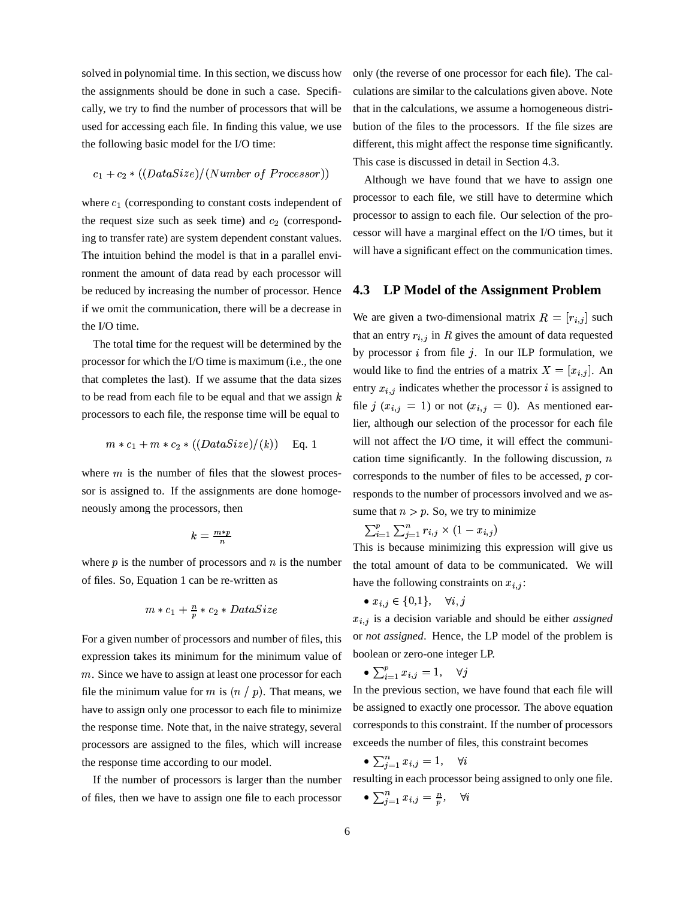solved in polynomial time. In this section, we discuss how the assignments should be done in such a case. Specifically, we try to find the number of processors that will be used for accessing each file. In finding this value, we use the following basic model for the I/O time:

$$
c_1+c_2*((DataSize)/(Number\ of\ Processor))
$$

where  $c_1$  (corresponding to constant costs independent of the request size such as seek time) and  $c_2$  (corresponding to transfer rate) are system dependent constant values. The intuition behind the model is that in a parallel environment the amount of data read by each processor will be reduced by increasing the number of processor. Hence if we omit the communication, there will be a decrease in the I/O time.

The total time for the request will be determined by the processor for which the I/O time is maximum (i.e., the one that completes the last). If we assume that the data sizes to be read from each file to be equal and that we assign  $k$ processors to each file, the response time will be equal to

$$
m * c_1 + m * c_2 * ((DataSize)/(k))
$$
 Eq. 1

where  $m$  is the number of files that the slowest processor is assigned to. If the assignments are done homogeneously among the processors, then

$$
k = \frac{m*p}{n}
$$

where  $p$  is the number of processors and  $n$  is the number of files. So, Equation 1 can be re-written as

$$
m * c_1 + \frac{n}{p} * c_2 * DataSize
$$

For a given number of processors and number of files, this expression takes its minimum for the minimum value of  $m$ . Since we have to assign at least one processor for each file the minimum value for m is  $(n / p)$ . That means, we have to assign only one processor to each file to minimize the response time. Note that, in the naive strategy, several processors are assigned to the files, which will increase the response time according to our model.

If the number of processors is larger than the number of files, then we have to assign one file to each processor

only (the reverse of one processor for each file). The calculations are similar to the calculations given above. Note that in the calculations, we assume a homogeneous distribution of the files to the processors. If the file sizes are different, this might affect the response time significantly. This case is discussed in detail in Section 4.3.

Although we have found that we have to assign one processor to each file, we still have to determine which processor to assign to each file. Our selection of the processor will have a marginal effect on the I/O times, but it will have a significant effect on the communication times.

### **4.3 LP Model of the Assignment Problem**

We are given a two-dimensional matrix  $R = [r_{i,j}]$  such that an entry  $r_{i,j}$  in R gives the amount of data requested by processor  $i$  from file  $j$ . In our ILP formulation, we would like to find the entries of a matrix  $X = [x_{i,j}]$ . An entry  $x_{i,j}$  indicates whether the processor i is assigned to file j  $(x_{i,j} = 1)$  or not  $(x_{i,j} = 0)$ . As mentioned earlier, although our selection of the processor for each file will not affect the I/O time, it will effect the communication time significantly. In the following discussion,  $n$ corresponds to the number of files to be accessed,  $p$  corresponds to the number of processors involved and we assume that  $n > p$ . So, we try to minimize

 $\sum_{i=1}^{p} \sum_{j=1}^{n} r_{i,j} \times (1 - r_{i,j})$ 

This is because minimizing this expression will give us the total amount of data to be communicated. We will have the following constraints on  $x_{i,j}$ :

$$
\bullet \; x_{i,j} \in \{0,1\}, \quad \forall i,j
$$

 $x_{i,j}$  is a decision variable and should be either *assigned* or *not assigned*. Hence, the LP model of the problem is boolean or zero-one integer LP.

$$
\bullet \textstyle \sum_{i=1}^p x_{i,j} = 1, \quad \forall j
$$

In the previous section, we have found that each file will be assigned to exactly one processor. The above equation corresponds to this constraint. If the number of processors exceeds the number of files, this constraint becomes

$$
\bullet \sum_{j=1}^{n} x_{i,j} = 1, \quad \forall i
$$

resulting in each processor being assigned to only one file.

$$
\bullet \, \textstyle \sum_{j=1}^n x_{i,j} = \frac{n}{p}, \quad \forall i
$$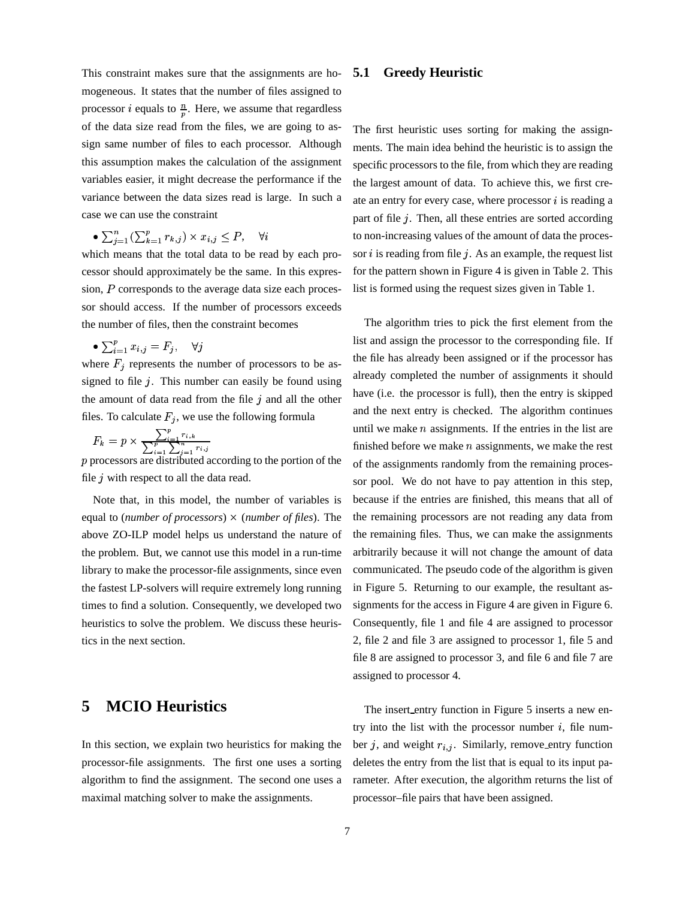This constraint makes sure that the assignments are homogeneous. It states that the number of files assigned to processor *i* equals to  $\frac{n}{n}$ . Here, we assume that regardless of the data size read from the files, we are going to assign same number of files to each processor. Although this assumption makes the calculation of the assignment variables easier, it might decrease the performance if the variance between the data sizes read is large. In such a case we can use the constraint

$$
\bullet \sum_{i=1}^{n} \left( \sum_{k=1}^{p} r_{k,j} \right) \times x_{i,j} \leq P, \quad \forall i
$$

which means that the total data to be read by each processor should approximately be the same. In this expression,  $P$  corresponds to the average data size each processor should access. If the number of processors exceeds the number of files, then the constraint becomes

$$
\bullet \, \textstyle\sum_{i=1}^p x_{i,j} = F_j, \quad \forall j
$$

where  $F_i$  represents the number of processors to be assigned to file  $j$ . This number can easily be found using the amount of data read from the file  $j$  and all the other files. To calculate  $F_j$ , we use the following formula

$$
F_k = p \times \frac{\sum_{i=1}^p r_{i,k}}{\sum_{i=1}^p \sum_{i=1}^n r_{i,j}}
$$

 $p$  processors are distributed according to the portion of the file  $j$  with respect to all the data read.

Note that, in this model, the number of variables is equal to (*number of processors*) (*number of files*). The above ZO-ILP model helps us understand the nature of the problem. But, we cannot use this model in a run-time library to make the processor-file assignments, since even the fastest LP-solvers will require extremely long running times to find a solution. Consequently, we developed two heuristics to solve the problem. We discuss these heuristics in the next section.

# **5 MCIO Heuristics**

In this section, we explain two heuristics for making the processor-file assignments. The first one uses a sorting algorithm to find the assignment. The second one uses a maximal matching solver to make the assignments.

### **5.1 Greedy Heuristic**

The first heuristic uses sorting for making the assignments. The main idea behind the heuristic is to assign the specific processors to the file, from which they are reading the largest amount of data. To achieve this, we first create an entry for every case, where processor  $i$  is reading a part of file  $j$ . Then, all these entries are sorted according to non-increasing values of the amount of data the processor  $i$  is reading from file  $j$ . As an example, the request list for the pattern shown in Figure 4 is given in Table 2. This list is formed using the request sizes given in Table 1.

The algorithm tries to pick the first element from the list and assign the processor to the corresponding file. If the file has already been assigned or if the processor has already completed the number of assignments it should have (i.e. the processor is full), then the entry is skipped and the next entry is checked. The algorithm continues until we make  $n$  assignments. If the entries in the list are finished before we make  $n$  assignments, we make the rest of the assignments randomly from the remaining processor pool. We do not have to pay attention in this step, because if the entries are finished, this means that all of the remaining processors are not reading any data from the remaining files. Thus, we can make the assignments arbitrarily because it will not change the amount of data communicated. The pseudo code of the algorithm is given in Figure 5. Returning to our example, the resultant assignments for the access in Figure 4 are given in Figure 6. Consequently, file 1 and file 4 are assigned to processor 2, file 2 and file 3 are assigned to processor 1, file 5 and file 8 are assigned to processor 3, and file 6 and file 7 are assigned to processor 4.

The insert entry function in Figure 5 inserts a new entry into the list with the processor number  $i$ , file number j, and weight  $r_{i,j}$ . Similarly, remove entry function deletes the entry from the list that is equal to its input parameter. After execution, the algorithm returns the list of processor–file pairs that have been assigned.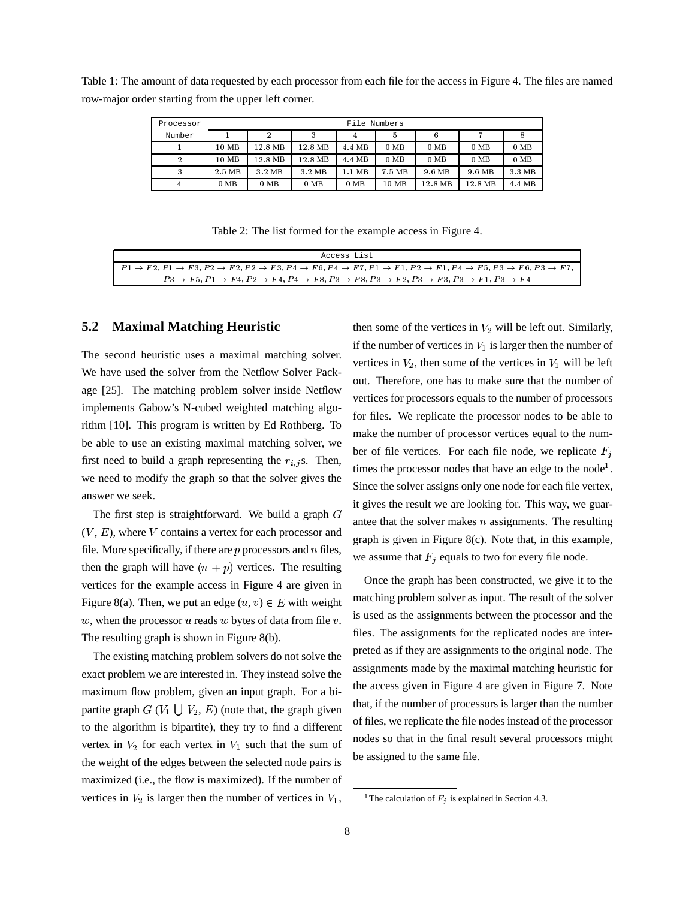Table 1: The amount of data requested by each processor from each file for the access in Figure 4. The files are named row-major order starting from the upper left corner.

| Processor      | File Numbers     |                 |                  |                 |        |         |                 |                 |
|----------------|------------------|-----------------|------------------|-----------------|--------|---------|-----------------|-----------------|
| Number         |                  |                 | 3                | 4               | 5      | 6       |                 |                 |
|                | 10 MB            | 12.8 MB         | 12.8 MB          | 4.4 MB          | $0$ MB | $0$ MB  | 0 <sub>MB</sub> | 0 <sub>MB</sub> |
| 2              | 10 MB            | 12.8 MB         | 12.8 MB          | 4.4 MB          | $0$ MB | $0$ MB  | $0$ MB          | $0$ MB          |
| 3              | 2.5 MB           | 3.2 MB          | 3.2 MB           | 1.1 MB          | 7.5 MB | 9.6 MB  | 9.6 MB          | 3.3 MB          |
| $\overline{4}$ | $0\ \mathrm{MB}$ | 0 <sub>MB</sub> | $0\ \mathrm{MB}$ | 0 <sub>MB</sub> | 10 MB  | 12.8 MB | 12.8 MB         | 4.4 MB          |

Table 2: The list formed for the example access in Figure 4.

| Access List                                                                                                                                                                                                        |
|--------------------------------------------------------------------------------------------------------------------------------------------------------------------------------------------------------------------|
| $P1 \rightarrow F2, P1 \rightarrow F3, P2 \rightarrow F2, P2 \rightarrow F3, P4 \rightarrow F6, P4 \rightarrow F7, P1 \rightarrow F1, P2 \rightarrow F1, P4 \rightarrow F5, P3 \rightarrow F6, P3 \rightarrow F7,$ |
| $P3 \rightarrow F5$ , $P1 \rightarrow F4$ , $P2 \rightarrow F4$ , $P4 \rightarrow F8$ , $P3 \rightarrow F8$ , $P3 \rightarrow F2$ , $P3 \rightarrow F3$ , $P3 \rightarrow F1$ , $P3 \rightarrow F4$                |

### **5.2 Maximal Matching Heuristic**

The second heuristic uses a maximal matching solver. We have used the solver from the Netflow Solver Package [25]. The matching problem solver inside Netflow implements Gabow's N-cubed weighted matching algorithm [10]. This program is written by Ed Rothberg. To be able to use an existing maximal matching solver, we first need to build a graph representing the  $r_{i,j}$ s. Then, we need to modify the graph so that the solver gives the answer we seek.

The first step is straightforward. We build a graph  $G$  $(V, E)$ , where  $V$  contains a vertex for each processor and file. More specifically, if there are  $p$  processors and  $n$  files, then the graph will have  $(n + p)$  vertices. The resulting vertices for the example access in Figure 4 are given in Figure 8(a). Then, we put an edge  $(u, v) \in E$  with weight  $w$ , when the processor  $u$  reads  $w$  bytes of data from file  $v$ . The resulting graph is shown in Figure 8(b).

The existing matching problem solvers do not solve the exact problem we are interested in. They instead solve the maximum flow problem, given an input graph. For a bipartite graph  $G(V_1 \cup V_2, E)$  (note that, the graph given to the algorithm is bipartite), they try to find a different vertex in  $V_2$  for each vertex in  $V_1$  such that the sum of the weight of the edges between the selected node pairs is maximized (i.e., the flow is maximized). If the number of vertices in  $V_2$  is larger then the number of vertices in  $V_1$ ,

then some of the vertices in  $V_2$  will be left out. Similarly, if the number of vertices in  $V_1$  is larger then the number of vertices in  $V_2$ , then some of the vertices in  $V_1$  will be left out. Therefore, one has to make sure that the number of vertices for processors equals to the number of processors for files. We replicate the processor nodes to be able to make the number of processor vertices equal to the number of file vertices. For each file node, we replicate  $F_i$ times the processor nodes that have an edge to the node<sup>1</sup>. Since the solver assigns only one node for each file vertex, it gives the result we are looking for. This way, we guarantee that the solver makes  $n$  assignments. The resulting graph is given in Figure 8(c). Note that, in this example, we assume that  $F_i$  equals to two for every file node.

Once the graph has been constructed, we give it to the matching problem solver as input. The result of the solver is used as the assignments between the processor and the files. The assignments for the replicated nodes are interpreted as if they are assignments to the original node. The assignments made by the maximal matching heuristic for the access given in Figure 4 are given in Figure 7. Note that, if the number of processors is larger than the number of files, we replicate the file nodes instead of the processor nodes so that in the final result several processors might be assigned to the same file.

<sup>&</sup>lt;sup>1</sup> The calculation of  $F_i$  is explained in Section 4.3.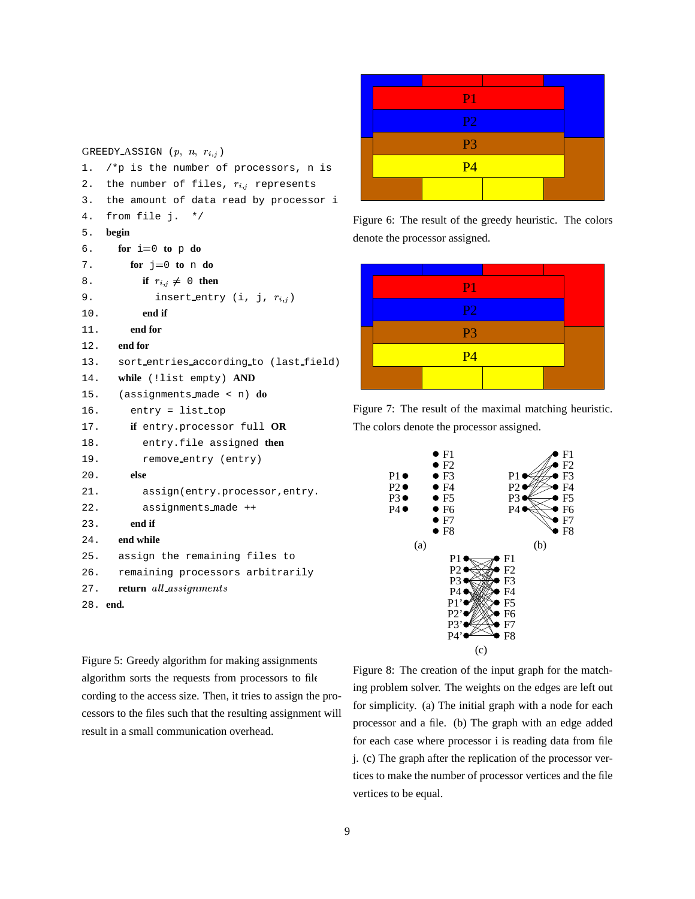|        |                                              |  | P1                             |                                                          |  |
|--------|----------------------------------------------|--|--------------------------------|----------------------------------------------------------|--|
|        |                                              |  | <b>P2</b>                      |                                                          |  |
|        | GREEDY ASSIGN $(p, n, r_{i,j})$              |  | P <sub>3</sub>                 |                                                          |  |
|        | 1. $/*p$ is the number of processors, n is   |  | P <sub>4</sub>                 |                                                          |  |
|        | 2. the number of files, $r_{i,j}$ represents |  |                                |                                                          |  |
|        | 3. the amount of data read by processor i    |  |                                |                                                          |  |
|        | 4. from file j. $*/$                         |  |                                | Figure 6: The result of the greedy heuristic. The colors |  |
| 5.     | begin                                        |  | denote the processor assigned. |                                                          |  |
|        | 6. for $i=0$ to p do                         |  |                                |                                                          |  |
| $\sim$ | $f_{01} = -0$ to $n \neq 0$                  |  |                                |                                                          |  |



Figure 7: The result of the maximal matching heuristic. The colors denote the processor assigned.



Figure 5: Greedy algorithm for making assignments. algorithm sorts the requests from processors to file cording to the access size. Then, it tries to assign the processors to the files such that the resulting assignment will result in a small communication overhead.

6. **for**  $i=0$  **to**  $p$  **do** 7. **for**  $j=0$  **to** n **do** 8. **if**  $r_{i,j} \neq 0$  then

10. **end if** 11. **end for** 12. **end for**

20. **else**

23. **end if** 24. **end while**

28. **end.**

9. insert\_entry  $(i, j, r_{i,j})$ 

14. **while** (!list empty) **AND** 15. (assignments made < n) **do**

22. assignments made ++

27. **return** all\_assignments

17. **if** entry.processor full **OR** 18. entry.file assigned **then** 19. remove\_entry (entry)

21. assign(entry.processor, entry.

25. assign the remaining files to 26. remaining processors arbitrarily

16. entry = list top

13. sort entries according to (last field)

# Figure 8: The creation of the input graph for the matching problem solver. The weights on the edges are left out for simplicity. (a) The initial graph with a node for each processor and a file. (b) The graph with an edge added for each case where processor i is reading data from file j. (c) The graph after the replication of the processor vertices to make the number of processor vertices and the file vertices to be equal.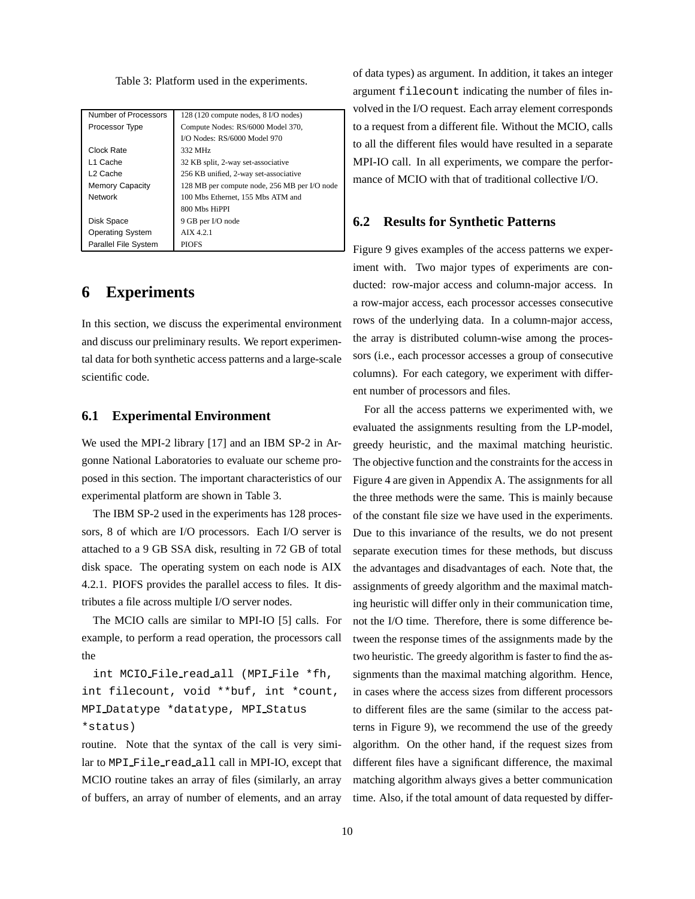Table 3: Platform used in the experiments.

| Number of Processors        | 128 (120 compute nodes, 8 I/O nodes)         |
|-----------------------------|----------------------------------------------|
| Processor Type              | Compute Nodes: RS/6000 Model 370,            |
|                             | I/O Nodes: RS/6000 Model 970                 |
| Clock Rate                  | 332 MHz                                      |
| L1 Cache                    | 32 KB split, 2-way set-associative           |
| L <sub>2</sub> Cache        | 256 KB unified, 2-way set-associative        |
| <b>Memory Capacity</b>      | 128 MB per compute node, 256 MB per I/O node |
| <b>Network</b>              | 100 Mbs Ethernet, 155 Mbs ATM and            |
|                             | 800 Mbs HiPPI                                |
| Disk Space                  | 9 GB per I/O node                            |
| <b>Operating System</b>     | AIX 4.2.1                                    |
| <b>Parallel File System</b> | <b>PIOFS</b>                                 |

### **6 Experiments**

In this section, we discuss the experimental environment and discuss our preliminary results. We report experimental data for both synthetic access patterns and a large-scale scientific code.

### **6.1 Experimental Environment**

We used the MPI-2 library [17] and an IBM SP-2 in Argonne National Laboratories to evaluate our scheme proposed in this section. The important characteristics of our experimental platform are shown in Table 3.

The IBM SP-2 used in the experiments has 128 processors, 8 of which are I/O processors. Each I/O server is attached to a 9 GB SSA disk, resulting in 72 GB of total disk space. The operating system on each node is AIX 4.2.1. PIOFS provides the parallel access to files. It distributes a file across multiple I/O server nodes.

The MCIO calls are similar to MPI-IO [5] calls. For example, to perform a read operation, the processors call the

int MCIO File read all (MPI File \*fh, int filecount, void \*\*buf, int \*count, MPI Datatype \*datatype, MPI Status \*status)

routine. Note that the syntax of the call is very similar to MPI File read all call in MPI-IO, except that MCIO routine takes an array of files (similarly, an array of buffers, an array of number of elements, and an array

of data types) as argument. In addition, it takes an integer argument filecount indicating the number of files involved in the I/O request. Each array element corresponds to a request from a different file. Without the MCIO, calls to all the different files would have resulted in a separate MPI-IO call. In all experiments, we compare the performance of MCIO with that of traditional collective I/O.

### **6.2 Results for Synthetic Patterns**

Figure 9 gives examples of the access patterns we experiment with. Two major types of experiments are conducted: row-major access and column-major access. In a row-major access, each processor accesses consecutive rows of the underlying data. In a column-major access, the array is distributed column-wise among the processors (i.e., each processor accesses a group of consecutive columns). For each category, we experiment with different number of processors and files.

For all the access patterns we experimented with, we evaluated the assignments resulting from the LP-model, greedy heuristic, and the maximal matching heuristic. The objective function and the constraints for the accessin Figure 4 are given in Appendix A. The assignments for all the three methods were the same. This is mainly because of the constant file size we have used in the experiments. Due to this invariance of the results, we do not present separate execution times for these methods, but discuss the advantages and disadvantages of each. Note that, the assignments of greedy algorithm and the maximal matching heuristic will differ only in their communication time, not the I/O time. Therefore, there is some difference between the response times of the assignments made by the two heuristic. The greedy algorithm is faster to find the assignments than the maximal matching algorithm. Hence, in cases where the access sizes from different processors to different files are the same (similar to the access patterns in Figure 9), we recommend the use of the greedy algorithm. On the other hand, if the request sizes from different files have a significant difference, the maximal matching algorithm always gives a better communication time. Also, if the total amount of data requested by differ-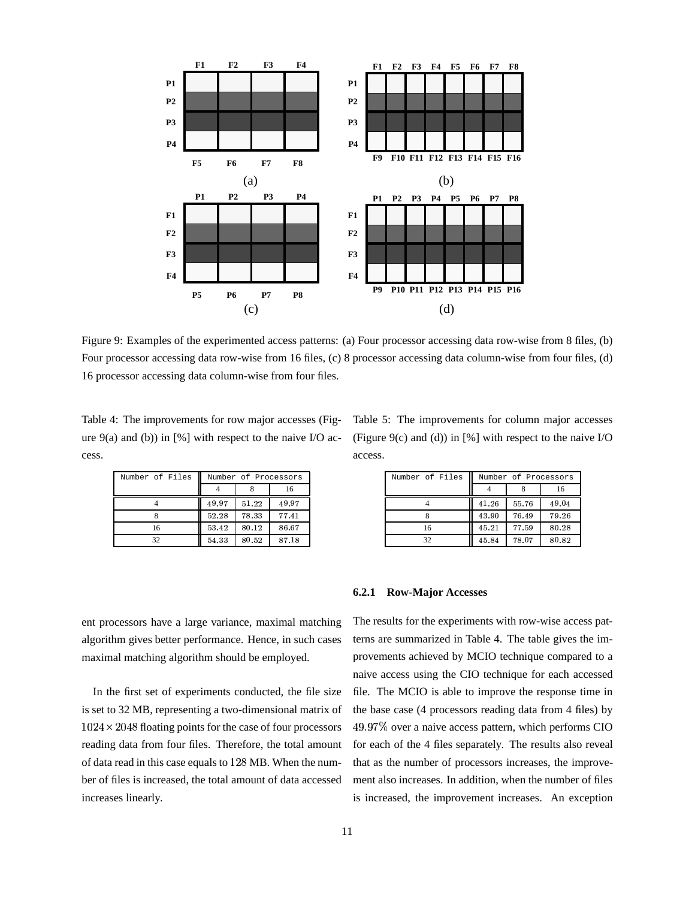

Figure 9: Examples of the experimented access patterns: (a) Four processor accessing data row-wise from 8 files, (b) Four processor accessing data row-wise from 16 files, (c) 8 processor accessing data column-wise from four files, (d) 16 processor accessing data column-wise from four files.

Table 4: The improvements for row major accesses (Figure  $9(a)$  and (b)) in [%] with respect to the naive I/O access.

| Number of Files | Number of Processors |       |       |  |
|-----------------|----------------------|-------|-------|--|
|                 |                      |       | 16    |  |
|                 | 49.97                | 51.22 | 49.97 |  |
|                 | 52.28                | 78.33 | 77.41 |  |
| 16              | 53.42                | 80.12 | 86.67 |  |
| 37              | 54.33                | 80.52 | 87.18 |  |

ent processors have a large variance, maximal matching algorithm gives better performance. Hence, in such cases maximal matching algorithm should be employed.

In the first set of experiments conducted, the file size is set to 32 MB, representing a two-dimensional matrix of  $1024 \times 2048$  floating points for the case of four processors reading data from four files. Therefore, the total amount of data read in this case equals to 128 MB. When the number of files is increased, the total amount of data accessed increases linearly.

(Figure 9(c) and (d)) in  $[%]$  with respect to the naive I/O access.

Table 5: The improvements for column major accesses

| Number of Files | Number of Processors |       |       |  |
|-----------------|----------------------|-------|-------|--|
|                 |                      |       | 16    |  |
|                 | 41.26                | 55.76 | 49.04 |  |
|                 | 43.90                | 76.49 | 79.26 |  |
| 16              | 45.21                | 77.59 | 80.28 |  |
| 32              | 45.84                | 78.07 | 80.82 |  |

#### **6.2.1 Row-Major Accesses**

The results for the experiments with row-wise access patterns are summarized in Table 4. The table gives the improvements achieved by MCIO technique compared to a naive access using the CIO technique for each accessed file. The MCIO is able to improve the response time in the base case (4 processors reading data from 4 files) by 49.97% over a naive access pattern, which performs CIO for each of the 4 files separately. The results also reveal that as the number of processors increases, the improvement also increases. In addition, when the number of files is increased, the improvement increases. An exception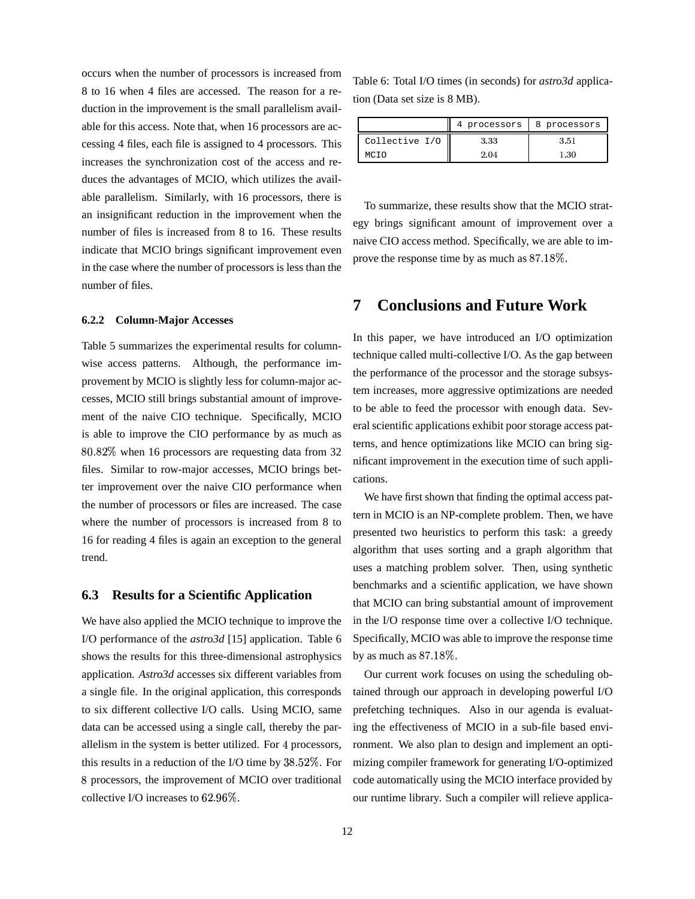occurs when the number of processors is increased from 8 to 16 when 4 files are accessed. The reason for a reduction in the improvement is the small parallelism available for this access. Note that, when 16 processors are accessing 4 files, each file is assigned to 4 processors. This increases the synchronization cost of the access and reduces the advantages of MCIO, which utilizes the available parallelism. Similarly, with 16 processors, there is an insignificant reduction in the improvement when the number of files is increased from 8 to 16. These results indicate that MCIO brings significant improvement even in the case where the number of processors is less than the number of files.

#### **6.2.2 Column-Major Accesses**

Table 5 summarizes the experimental results for columnwise access patterns. Although, the performance improvement by MCIO is slightly less for column-major accesses, MCIO still brings substantial amount of improvement of the naive CIO technique. Specifically, MCIO is able to improve the CIO performance by as much as 80.82% when 16 processors are requesting data from 32 files. Similar to row-major accesses, MCIO brings better improvement over the naive CIO performance when the number of processors or files are increased. The case where the number of processors is increased from 8 to 16 for reading 4 files is again an exception to the general trend.

#### **6.3 Results for a Scientific Application**

We have also applied the MCIO technique to improve the I/O performance of the *astro3d* [15] application. Table 6 shows the results for this three-dimensional astrophysics application. *Astro3d* accesses six different variables from a single file. In the original application, this corresponds to six different collective I/O calls. Using MCIO, same data can be accessed using a single call, thereby the parallelism in the system is better utilized. For 4 processors, this results in a reduction of the I/O time by  $38.52\%$ . For mizing c 8 processors, the improvement of MCIO over traditional collective I/O increases to  $62.96\%$ .

Table 6: Total I/O times (in seconds) for *astro3d* application (Data set size is 8 MB).

|                | processors | 8 processors |
|----------------|------------|--------------|
| Collective I/O | 3.33       | 351          |
| MATU           | 2.04       |              |

To summarize, these results show that the MCIO strategy brings significant amount of improvement over a naive CIO access method. Specifically, we are able to improve the response time by as much as  $87.18\%$ .

### **7 Conclusions and Future Work**

In this paper, we have introduced an I/O optimization technique called multi-collective I/O. As the gap between the performance of the processor and the storage subsystem increases, more aggressive optimizations are needed to be able to feed the processor with enough data. Several scientific applications exhibit poor storage access patterns, and hence optimizations like MCIO can bring significant improvement in the execution time of such applications.

We have first shown that finding the optimal access pattern in MCIO is an NP-complete problem. Then, we have presented two heuristics to perform this task: a greedy algorithm that uses sorting and a graph algorithm that uses a matching problem solver. Then, using synthetic benchmarks and a scientific application, we have shown that MCIO can bring substantial amount of improvement in the I/O response time over a collective I/O technique. Specifically, MCIO was able to improve the response time by as much as  $87.18\%$ .

Our current work focuses on using the scheduling obtained through our approach in developing powerful I/O prefetching techniques. Also in our agenda is evaluating the effectiveness of MCIO in a sub-file based environment. We also plan to design and implement an optimizing compiler framework for generating I/O-optimized code automatically using the MCIO interface provided by our runtime library. Such a compiler will relieve applica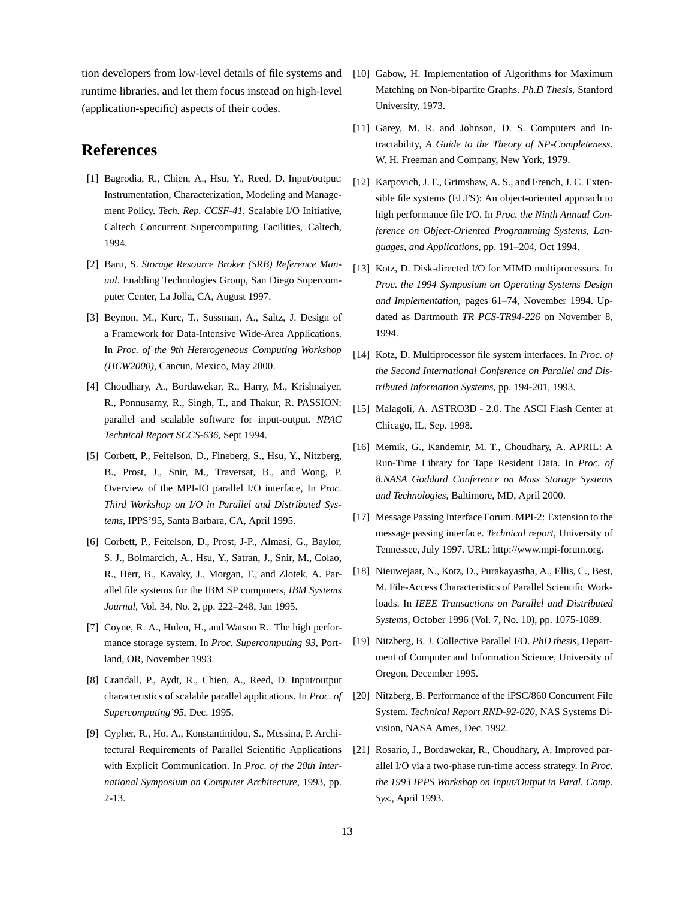tion developers from low-level details of file systems and runtime libraries, and let them focus instead on high-level (application-specific) aspects of their codes.

# **References**

- [1] Bagrodia, R., Chien, A., Hsu, Y., Reed, D. Input/output: Instrumentation, Characterization, Modeling and Management Policy. *Tech. Rep. CCSF-41*, Scalable I/O Initiative, Caltech Concurrent Supercomputing Facilities, Caltech, 1994.
- [2] Baru, S. *Storage Resource Broker (SRB) Reference Manual*. Enabling Technologies Group, San Diego Supercomputer Center, La Jolla, CA, August 1997.
- [3] Beynon, M., Kurc, T., Sussman, A., Saltz, J. Design of a Framework for Data-Intensive Wide-Area Applications. In *Proc. of the 9th Heterogeneous Computing Workshop (HCW2000)*, Cancun, Mexico, May 2000.
- [4] Choudhary, A., Bordawekar, R., Harry, M., Krishnaiyer, R., Ponnusamy, R., Singh, T., and Thakur, R. PASSION: parallel and scalable software for input-output. *NPAC Technical Report SCCS-636*, Sept 1994.
- [5] Corbett, P., Feitelson, D., Fineberg, S., Hsu, Y., Nitzberg, B., Prost, J., Snir, M., Traversat, B., and Wong, P. Overview of the MPI-IO parallel I/O interface, In *Proc. Third Workshop on I/O in Parallel and Distributed Systems*, IPPS'95, Santa Barbara, CA, April 1995.
- [6] Corbett, P., Feitelson, D., Prost, J-P., Almasi, G., Baylor, S. J., Bolmarcich, A., Hsu, Y., Satran, J., Snir, M., Colao, R., Herr, B., Kavaky, J., Morgan, T., and Zlotek, A. Parallel file systems for the IBM SP computers, *IBM Systems Journal*, Vol. 34, No. 2, pp. 222–248, Jan 1995.
- [7] Coyne, R. A., Hulen, H., and Watson R.. The high performance storage system. In *Proc. Supercomputing 93*, Portland, OR, November 1993.
- [8] Crandall, P., Aydt, R., Chien, A., Reed, D. Input/output characteristics of scalable parallel applications. In *Proc. of Supercomputing'95*, Dec. 1995.
- [9] Cypher, R., Ho, A., Konstantinidou, S., Messina, P. Architectural Requirements of Parallel Scientific Applications with Explicit Communication. In *Proc. of the 20th International Symposium on Computer Architecture*, 1993, pp. 2-13.
- [10] Gabow, H. Implementation of Algorithms for Maximum Matching on Non-bipartite Graphs. *Ph.D Thesis*, Stanford University, 1973.
- [11] Garey, M. R. and Johnson, D. S. Computers and Intractability, *A Guide to the Theory of NP-Completeness*. W. H. Freeman and Company, New York, 1979.
- [12] Karpovich, J. F., Grimshaw, A. S., and French, J. C. Extensible file systems (ELFS): An object-oriented approach to high performance file I/O. In *Proc. the Ninth Annual Conference on Object-Oriented Programming Systems, Languages, and Applications*, pp. 191–204, Oct 1994.
- [13] Kotz, D. Disk-directed I/O for MIMD multiprocessors. In *Proc. the 1994 Symposium on Operating Systems Design and Implementation*, pages 61–74, November 1994. Updated as Dartmouth *TR PCS-TR94-226* on November 8, 1994.
- [14] Kotz, D. Multiprocessor file system interfaces. In *Proc. of the Second International Conference on Parallel and Distributed Information Systems*, pp. 194-201, 1993.
- [15] Malagoli, A. ASTRO3D 2.0. The ASCI Flash Center at Chicago, IL, Sep. 1998.
- [16] Memik, G., Kandemir, M. T., Choudhary, A. APRIL: A Run-Time Library for Tape Resident Data. In *Proc. of 8.NASA Goddard Conference on Mass Storage Systems and Technologies*, Baltimore, MD, April 2000.
- [17] Message Passing Interface Forum. MPI-2: Extension to the message passing interface. *Technical report*, University of Tennessee, July 1997. URL: http://www.mpi-forum.org.
- [18] Nieuwejaar, N., Kotz, D., Purakayastha, A., Ellis, C., Best, M. File-Access Characteristics of Parallel Scientific Workloads. In *IEEE Transactions on Parallel and Distributed Systems,* October 1996 (Vol. 7, No. 10), pp. 1075-1089.
- [19] Nitzberg, B. J. Collective Parallel I/O. *PhD thesis*, Department of Computer and Information Science, University of Oregon, December 1995.
- [20] Nitzberg, B. Performance of the iPSC/860 Concurrent File System. *Technical Report RND-92-020*, NAS Systems Division, NASA Ames, Dec. 1992.
- [21] Rosario, J., Bordawekar, R., Choudhary, A. Improved parallel I/O via a two-phase run-time access strategy. In *Proc. the 1993 IPPS Workshop on Input/Output in Paral. Comp. Sys.,* April 1993.